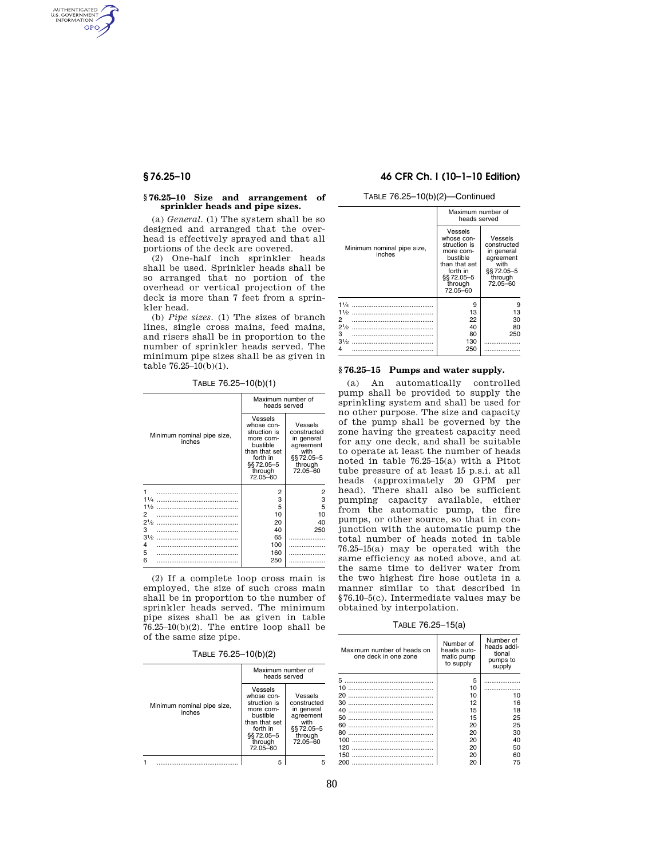AUTHENTICATED<br>U.S. GOVERNMENT<br>INFORMATION **GPO** 

### **§ 76.25–10 Size and arrangement of sprinkler heads and pipe sizes.**

(a) *General.* (1) The system shall be so designed and arranged that the overhead is effectively sprayed and that all portions of the deck are covered.

(2) One-half inch sprinkler heads shall be used. Sprinkler heads shall be so arranged that no portion of the overhead or vertical projection of the deck is more than 7 feet from a sprinkler head.

(b) *Pipe sizes.* (1) The sizes of branch lines, single cross mains, feed mains, and risers shall be in proportion to the number of sprinkler heads served. The minimum pipe sizes shall be as given in table 76.25–10(b)(1).

TABLE 76.25–10(b)(1)

|                                      | Maximum number of<br>heads served                                                                                               |                                                                                                |
|--------------------------------------|---------------------------------------------------------------------------------------------------------------------------------|------------------------------------------------------------------------------------------------|
| Minimum nominal pipe size,<br>inches | Vessels<br>whose con-<br>struction is<br>more com-<br>bustible<br>than that set<br>forth in<br>§§72.05-5<br>through<br>72.05-60 | Vessels<br>constructed<br>in general<br>agreement<br>with<br>\$§72.05-5<br>through<br>72.05-60 |
| 1                                    | 2                                                                                                                               | $\overline{2}$                                                                                 |
| $1^{1}/4$                            | 3                                                                                                                               | 3                                                                                              |
| 11/2                                 | 5                                                                                                                               | 5                                                                                              |
| 2                                    | 10                                                                                                                              | 10                                                                                             |
| $2^{1/2}$                            | 20                                                                                                                              | 40                                                                                             |
| 3                                    | 40                                                                                                                              | 250                                                                                            |
| $3\frac{1}{2}$                       | 65                                                                                                                              |                                                                                                |
| 4                                    | 100                                                                                                                             |                                                                                                |
| 5                                    | 160                                                                                                                             |                                                                                                |
| 6                                    | 250                                                                                                                             |                                                                                                |

(2) If a complete loop cross main is employed, the size of such cross main shall be in proportion to the number of sprinkler heads served. The minimum pipe sizes shall be as given in table  $76.25-10(b)(2)$ . The entire loop shall be of the same size pipe.

TABLE 76.25–10(b)(2)

|                                      | Maximum number of<br>heads served                                                                                                |                                                                                                |
|--------------------------------------|----------------------------------------------------------------------------------------------------------------------------------|------------------------------------------------------------------------------------------------|
| Minimum nominal pipe size,<br>inches | Vessels<br>whose con-<br>struction is<br>more com-<br>bustible<br>than that set<br>forth in<br>\$§72.05-5<br>through<br>72.05-60 | Vessels<br>constructed<br>in general<br>agreement<br>with<br>§§ 72.05-5<br>through<br>72.05-60 |
|                                      |                                                                                                                                  |                                                                                                |

## **§ 76.25–10 46 CFR Ch. I (10–1–10 Edition)**

TABLE 76.25–10(b)(2)—Continued

|                                                         | Maximum number of<br>heads served                                                                                               |                                                                                                |
|---------------------------------------------------------|---------------------------------------------------------------------------------------------------------------------------------|------------------------------------------------------------------------------------------------|
| Minimum nominal pipe size,<br>inches                    | Vessels<br>whose con-<br>struction is<br>more com-<br>bustible<br>than that set<br>forth in<br>§§72.05-5<br>through<br>72.05-60 | Vessels<br>constructed<br>in general<br>agreement<br>with<br>§§ 72.05-5<br>through<br>72.05-60 |
| $1\frac{1}{2}$<br>2<br>$2^{1/2}$<br>3<br>$3\frac{1}{2}$ | 9<br>13<br>22<br>40<br>80<br>130                                                                                                | 9<br>13<br>30<br>80<br>250                                                                     |
| 4                                                       | 250                                                                                                                             |                                                                                                |

# **§ 76.25–15 Pumps and water supply.**

(a) An automatically controlled pump shall be provided to supply the sprinkling system and shall be used for no other purpose. The size and capacity of the pump shall be governed by the zone having the greatest capacity need for any one deck, and shall be suitable to operate at least the number of heads noted in table 76.25–15(a) with a Pitot tube pressure of at least 15 p.s.i. at all heads (approximately 20 GPM per head). There shall also be sufficient pumping capacity available, either from the automatic pump, the fire pumps, or other source, so that in conjunction with the automatic pump the total number of heads noted in table 76.25–15(a) may be operated with the same efficiency as noted above, and at the same time to deliver water from the two highest fire hose outlets in a manner similar to that described in §76.10–5(c). Intermediate values may be obtained by interpolation.

TABLE 76.25–15(a)

| Maximum number of heads on<br>one deck in one zone | Number of<br>heads auto-<br>matic pump<br>to supply | Number of<br>heads addi-<br>tional<br>pumps to<br>supply |
|----------------------------------------------------|-----------------------------------------------------|----------------------------------------------------------|
|                                                    | 5                                                   |                                                          |
| 10                                                 | 10                                                  |                                                          |
| 20                                                 | 10                                                  | 10                                                       |
| 30                                                 | 12                                                  | 16                                                       |
| 40                                                 | 15                                                  | 18                                                       |
| 50                                                 | 15                                                  | 25                                                       |
| 60                                                 | 20                                                  | 25                                                       |
| 80                                                 | 20                                                  | 30                                                       |
| 100                                                | 20                                                  | 40                                                       |
| 120                                                | 20                                                  | 50                                                       |
| 150                                                | 20                                                  | 60                                                       |
| 200                                                | 20                                                  | 75                                                       |
|                                                    |                                                     |                                                          |